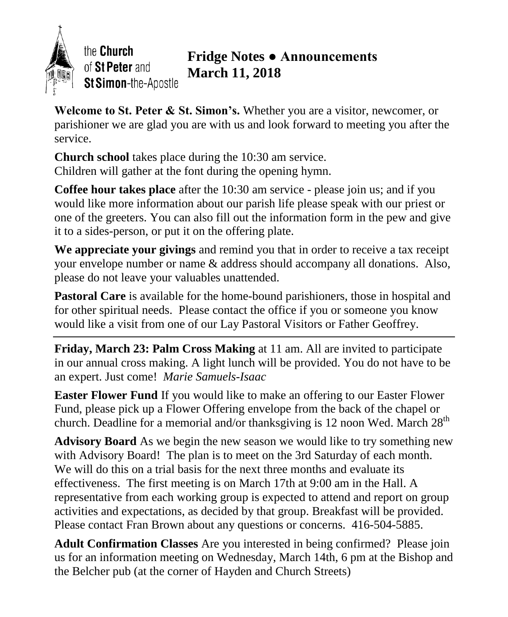

the Church of St Peter and St Simon-the-Apostle

## **Fridge Notes ● Announcements March 11, 2018**

**Welcome to St. Peter & St. Simon's.** Whether you are a visitor, newcomer, or parishioner we are glad you are with us and look forward to meeting you after the service.

**Church school** takes place during the 10:30 am service. Children will gather at the font during the opening hymn.

**Coffee hour takes place** after the 10:30 am service - please join us; and if you would like more information about our parish life please speak with our priest or one of the greeters. You can also fill out the information form in the pew and give it to a sides-person, or put it on the offering plate.

**We appreciate your givings** and remind you that in order to receive a tax receipt your envelope number or name & address should accompany all donations. Also, please do not leave your valuables unattended.

**Pastoral Care** is available for the home-bound parishioners, those in hospital and for other spiritual needs. Please contact the office if you or someone you know would like a visit from one of our Lay Pastoral Visitors or Father Geoffrey.

**Friday, March 23: Palm Cross Making** at 11 am. All are invited to participate in our annual cross making. A light lunch will be provided. You do not have to be an expert. Just come! *Marie Samuels-Isaac*

**Easter Flower Fund** If you would like to make an offering to our Easter Flower Fund, please pick up a Flower Offering envelope from the back of the chapel or church. Deadline for a memorial and/or thanksgiving is 12 noon Wed. March  $28<sup>th</sup>$ 

**Advisory Board** As we begin the new season we would like to try something new with Advisory Board! The plan is to meet on the 3rd Saturday of each month. We will do this on a trial basis for the next three months and evaluate its effectiveness. The first meeting is on March 17th at 9:00 am in the Hall. A representative from each working group is expected to attend and report on group activities and expectations, as decided by that group. Breakfast will be provided. Please contact Fran Brown about any questions or concerns. 416-504-5885.

**Adult Confirmation Classes** Are you interested in being confirmed? Please join us for an information meeting on Wednesday, March 14th, 6 pm at the Bishop and the Belcher pub (at the corner of Hayden and Church Streets)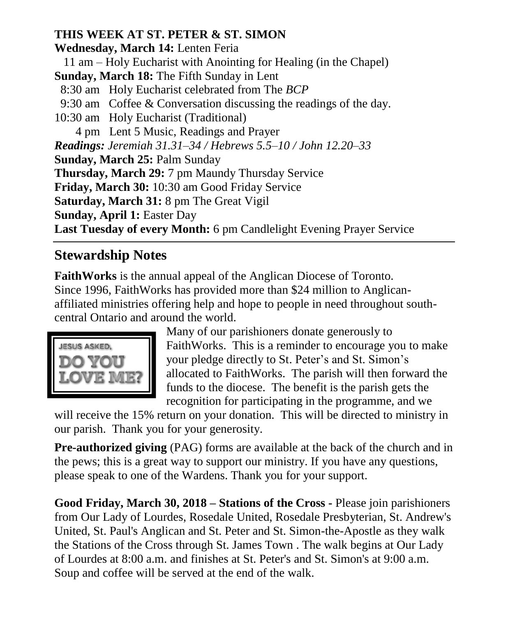### **THIS WEEK AT ST. PETER & ST. SIMON**

**Wednesday, March 14:** Lenten Feria

11 am – Holy Eucharist with Anointing for Healing (in the Chapel)

**Sunday, March 18:** The Fifth Sunday in Lent

- 8:30 am Holy Eucharist celebrated from The *BCP*
- 9:30 am Coffee & Conversation discussing the readings of the day.
- 10:30 am Holy Eucharist (Traditional)

4 pm Lent 5 Music, Readings and Prayer

*Readings: Jeremiah 31.31–34 / Hebrews 5.5–10 / John 12.20–33*

**Sunday, March 25:** Palm Sunday

**Thursday, March 29:** 7 pm Maundy Thursday Service

**Friday, March 30:** 10:30 am Good Friday Service

**Saturday, March 31:** 8 pm The Great Vigil

**Sunday, April 1:** Easter Day

**Last Tuesday of every Month:** 6 pm Candlelight Evening Prayer Service

# **Stewardship Notes**

**FaithWorks** is the annual appeal of the Anglican Diocese of Toronto. Since 1996, FaithWorks has provided more than \$24 million to Anglicanaffiliated ministries offering help and hope to people in need throughout southcentral Ontario and around the world.



Many of our parishioners donate generously to FaithWorks. This is a reminder to encourage you to make your pledge directly to St. Peter's and St. Simon's allocated to FaithWorks. The parish will then forward the funds to the diocese. The benefit is the parish gets the recognition for participating in the programme, and we

will receive the 15% return on your donation. This will be directed to ministry in our parish. Thank you for your generosity.

**Pre-authorized giving** (PAG) forms are available at the back of the church and in the pews; this is a great way to support our ministry. If you have any questions, please speak to one of the Wardens. Thank you for your support.

**Good Friday, March 30, 2018 – Stations of the Cross -** Please join parishioners from Our Lady of Lourdes, Rosedale United, Rosedale Presbyterian, St. Andrew's United, St. Paul's Anglican and St. Peter and St. Simon-the-Apostle as they walk the Stations of the Cross through St. James Town . The walk begins at Our Lady of Lourdes at 8:00 a.m. and finishes at St. Peter's and St. Simon's at 9:00 a.m. Soup and coffee will be served at the end of the walk.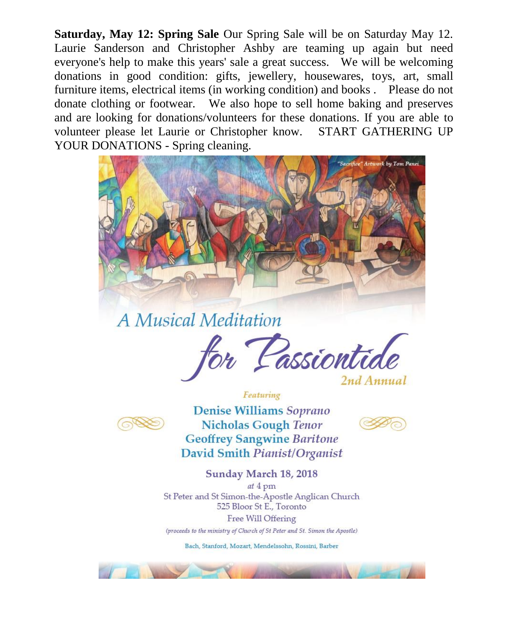Saturday, May 12: Spring Sale Our Spring Sale will be on Saturday May 12. Laurie Sanderson and Christopher Ashby are teaming up again but need everyone's help to make this years' sale a great success. We will be welcoming donations in good condition: gifts, jewellery, housewares, toys, art, small furniture items, electrical items (in working condition) and books. Please do not donate clothing or footwear. We also hope to sell home baking and preserves and are looking for donations/volunteers for these donations. If you are able to volunteer please let Laurie or Christopher know. START GATHERING UP YOUR DONATIONS - Spring cleaning.



A Musical Meditation





**Denise Williams Soprano Nicholas Gough Tenor Geoffrey Sangwine Baritone** David Smith Pianist/Organist

Featuring



Sunday March 18, 2018  $at 4$  pm St Peter and St Simon-the-Apostle Anglican Church 525 Bloor St E., Toronto Free Will Offering (proceeds to the ministry of Church of St Peter and St. Simon the Apostle)

Bach, Stanford, Mozart, Mendelssohn, Rossini, Barber